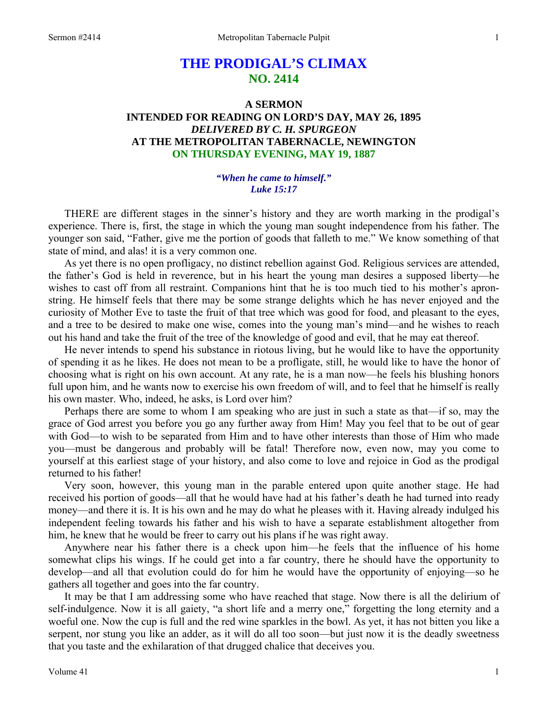# **THE PRODIGAL'S CLIMAX NO. 2414**

## **A SERMON INTENDED FOR READING ON LORD'S DAY, MAY 26, 1895**  *DELIVERED BY C. H. SPURGEON*  **AT THE METROPOLITAN TABERNACLE, NEWINGTON ON THURSDAY EVENING, MAY 19, 1887**

## *"When he came to himself." Luke 15:17*

THERE are different stages in the sinner's history and they are worth marking in the prodigal's experience. There is, first, the stage in which the young man sought independence from his father. The younger son said, "Father, give me the portion of goods that falleth to me." We know something of that state of mind, and alas! it is a very common one.

As yet there is no open profligacy, no distinct rebellion against God. Religious services are attended, the father's God is held in reverence, but in his heart the young man desires a supposed liberty—he wishes to cast off from all restraint. Companions hint that he is too much tied to his mother's apronstring. He himself feels that there may be some strange delights which he has never enjoyed and the curiosity of Mother Eve to taste the fruit of that tree which was good for food, and pleasant to the eyes, and a tree to be desired to make one wise, comes into the young man's mind—and he wishes to reach out his hand and take the fruit of the tree of the knowledge of good and evil, that he may eat thereof.

He never intends to spend his substance in riotous living, but he would like to have the opportunity of spending it as he likes. He does not mean to be a profligate, still, he would like to have the honor of choosing what is right on his own account. At any rate, he is a man now—he feels his blushing honors full upon him, and he wants now to exercise his own freedom of will, and to feel that he himself is really his own master. Who, indeed, he asks, is Lord over him?

Perhaps there are some to whom I am speaking who are just in such a state as that—if so, may the grace of God arrest you before you go any further away from Him! May you feel that to be out of gear with God—to wish to be separated from Him and to have other interests than those of Him who made you—must be dangerous and probably will be fatal! Therefore now, even now, may you come to yourself at this earliest stage of your history, and also come to love and rejoice in God as the prodigal returned to his father!

Very soon, however, this young man in the parable entered upon quite another stage. He had received his portion of goods—all that he would have had at his father's death he had turned into ready money—and there it is. It is his own and he may do what he pleases with it. Having already indulged his independent feeling towards his father and his wish to have a separate establishment altogether from him, he knew that he would be freer to carry out his plans if he was right away.

Anywhere near his father there is a check upon him—he feels that the influence of his home somewhat clips his wings. If he could get into a far country, there he should have the opportunity to develop—and all that evolution could do for him he would have the opportunity of enjoying—so he gathers all together and goes into the far country.

It may be that I am addressing some who have reached that stage. Now there is all the delirium of self-indulgence. Now it is all gaiety, "a short life and a merry one," forgetting the long eternity and a woeful one. Now the cup is full and the red wine sparkles in the bowl. As yet, it has not bitten you like a serpent, nor stung you like an adder, as it will do all too soon—but just now it is the deadly sweetness that you taste and the exhilaration of that drugged chalice that deceives you.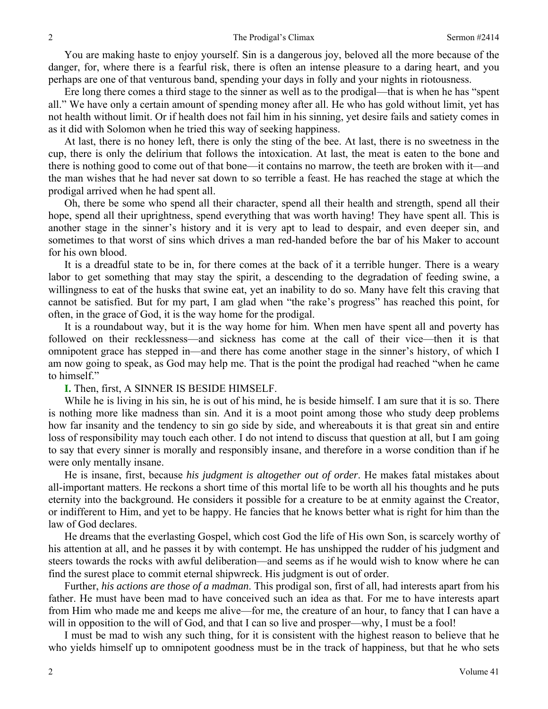You are making haste to enjoy yourself. Sin is a dangerous joy, beloved all the more because of the danger, for, where there is a fearful risk, there is often an intense pleasure to a daring heart, and you perhaps are one of that venturous band, spending your days in folly and your nights in riotousness.

Ere long there comes a third stage to the sinner as well as to the prodigal—that is when he has "spent all." We have only a certain amount of spending money after all. He who has gold without limit, yet has not health without limit. Or if health does not fail him in his sinning, yet desire fails and satiety comes in as it did with Solomon when he tried this way of seeking happiness.

At last, there is no honey left, there is only the sting of the bee. At last, there is no sweetness in the cup, there is only the delirium that follows the intoxication. At last, the meat is eaten to the bone and there is nothing good to come out of that bone—it contains no marrow, the teeth are broken with it—and the man wishes that he had never sat down to so terrible a feast. He has reached the stage at which the prodigal arrived when he had spent all.

Oh, there be some who spend all their character, spend all their health and strength, spend all their hope, spend all their uprightness, spend everything that was worth having! They have spent all. This is another stage in the sinner's history and it is very apt to lead to despair, and even deeper sin, and sometimes to that worst of sins which drives a man red-handed before the bar of his Maker to account for his own blood.

It is a dreadful state to be in, for there comes at the back of it a terrible hunger. There is a weary labor to get something that may stay the spirit, a descending to the degradation of feeding swine, a willingness to eat of the husks that swine eat, yet an inability to do so. Many have felt this craving that cannot be satisfied. But for my part, I am glad when "the rake's progress" has reached this point, for often, in the grace of God, it is the way home for the prodigal.

It is a roundabout way, but it is the way home for him. When men have spent all and poverty has followed on their recklessness—and sickness has come at the call of their vice—then it is that omnipotent grace has stepped in—and there has come another stage in the sinner's history, of which I am now going to speak, as God may help me. That is the point the prodigal had reached "when he came to himself."

#### **I.** Then, first, A SINNER IS BESIDE HIMSELF.

While he is living in his sin, he is out of his mind, he is beside himself. I am sure that it is so. There is nothing more like madness than sin. And it is a moot point among those who study deep problems how far insanity and the tendency to sin go side by side, and whereabouts it is that great sin and entire loss of responsibility may touch each other. I do not intend to discuss that question at all, but I am going to say that every sinner is morally and responsibly insane, and therefore in a worse condition than if he were only mentally insane.

He is insane, first, because *his judgment is altogether out of order*. He makes fatal mistakes about all-important matters. He reckons a short time of this mortal life to be worth all his thoughts and he puts eternity into the background. He considers it possible for a creature to be at enmity against the Creator, or indifferent to Him, and yet to be happy. He fancies that he knows better what is right for him than the law of God declares.

He dreams that the everlasting Gospel, which cost God the life of His own Son, is scarcely worthy of his attention at all, and he passes it by with contempt. He has unshipped the rudder of his judgment and steers towards the rocks with awful deliberation—and seems as if he would wish to know where he can find the surest place to commit eternal shipwreck. His judgment is out of order.

Further, *his actions are those of a madman*. This prodigal son, first of all, had interests apart from his father. He must have been mad to have conceived such an idea as that. For me to have interests apart from Him who made me and keeps me alive—for me, the creature of an hour, to fancy that I can have a will in opposition to the will of God, and that I can so live and prosper—why, I must be a fool!

I must be mad to wish any such thing, for it is consistent with the highest reason to believe that he who yields himself up to omnipotent goodness must be in the track of happiness, but that he who sets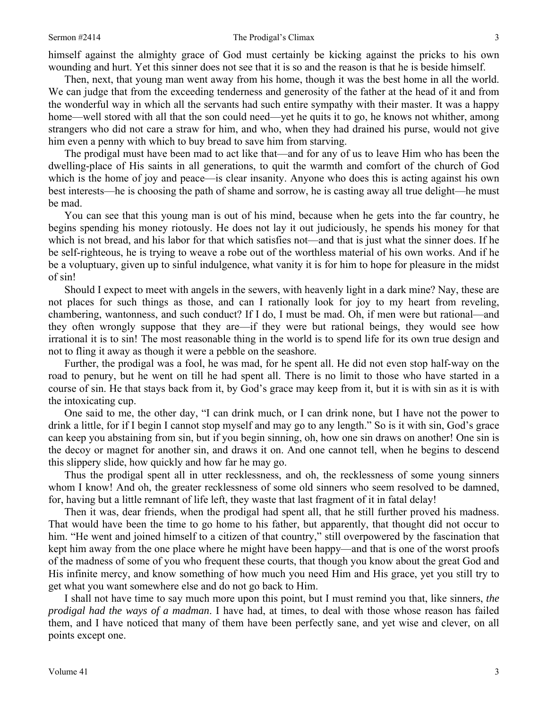himself against the almighty grace of God must certainly be kicking against the pricks to his own wounding and hurt. Yet this sinner does not see that it is so and the reason is that he is beside himself.

Then, next, that young man went away from his home, though it was the best home in all the world. We can judge that from the exceeding tenderness and generosity of the father at the head of it and from the wonderful way in which all the servants had such entire sympathy with their master. It was a happy home—well stored with all that the son could need—yet he quits it to go, he knows not whither, among strangers who did not care a straw for him, and who, when they had drained his purse, would not give him even a penny with which to buy bread to save him from starving.

The prodigal must have been mad to act like that—and for any of us to leave Him who has been the dwelling-place of His saints in all generations, to quit the warmth and comfort of the church of God which is the home of joy and peace—is clear insanity. Anyone who does this is acting against his own best interests—he is choosing the path of shame and sorrow, he is casting away all true delight—he must be mad.

You can see that this young man is out of his mind, because when he gets into the far country, he begins spending his money riotously. He does not lay it out judiciously, he spends his money for that which is not bread, and his labor for that which satisfies not—and that is just what the sinner does. If he be self-righteous, he is trying to weave a robe out of the worthless material of his own works. And if he be a voluptuary, given up to sinful indulgence, what vanity it is for him to hope for pleasure in the midst of sin!

Should I expect to meet with angels in the sewers, with heavenly light in a dark mine? Nay, these are not places for such things as those, and can I rationally look for joy to my heart from reveling, chambering, wantonness, and such conduct? If I do, I must be mad. Oh, if men were but rational—and they often wrongly suppose that they are—if they were but rational beings, they would see how irrational it is to sin! The most reasonable thing in the world is to spend life for its own true design and not to fling it away as though it were a pebble on the seashore.

Further, the prodigal was a fool, he was mad, for he spent all. He did not even stop half-way on the road to penury, but he went on till he had spent all. There is no limit to those who have started in a course of sin. He that stays back from it, by God's grace may keep from it, but it is with sin as it is with the intoxicating cup.

One said to me, the other day, "I can drink much, or I can drink none, but I have not the power to drink a little, for if I begin I cannot stop myself and may go to any length." So is it with sin, God's grace can keep you abstaining from sin, but if you begin sinning, oh, how one sin draws on another! One sin is the decoy or magnet for another sin, and draws it on. And one cannot tell, when he begins to descend this slippery slide, how quickly and how far he may go.

Thus the prodigal spent all in utter recklessness, and oh, the recklessness of some young sinners whom I know! And oh, the greater recklessness of some old sinners who seem resolved to be damned, for, having but a little remnant of life left, they waste that last fragment of it in fatal delay!

Then it was, dear friends, when the prodigal had spent all, that he still further proved his madness. That would have been the time to go home to his father, but apparently, that thought did not occur to him. "He went and joined himself to a citizen of that country," still overpowered by the fascination that kept him away from the one place where he might have been happy—and that is one of the worst proofs of the madness of some of you who frequent these courts, that though you know about the great God and His infinite mercy, and know something of how much you need Him and His grace, yet you still try to get what you want somewhere else and do not go back to Him.

I shall not have time to say much more upon this point, but I must remind you that, like sinners, *the prodigal had the ways of a madman*. I have had, at times, to deal with those whose reason has failed them, and I have noticed that many of them have been perfectly sane, and yet wise and clever, on all points except one.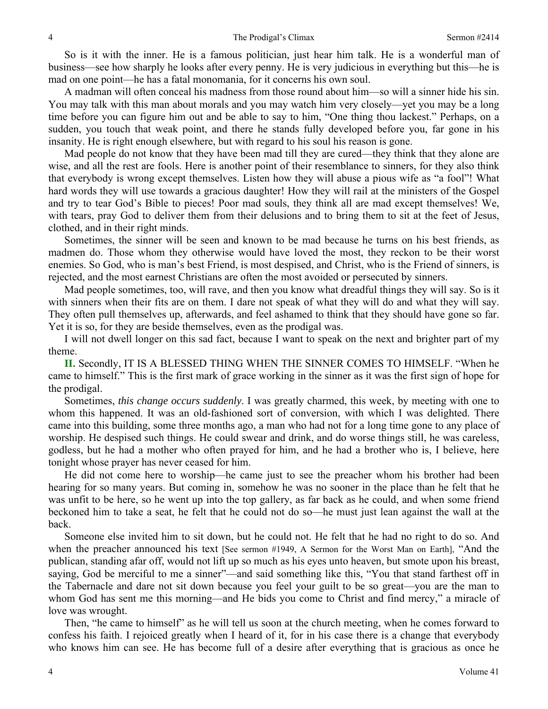So is it with the inner. He is a famous politician, just hear him talk. He is a wonderful man of business—see how sharply he looks after every penny. He is very judicious in everything but this—he is mad on one point—he has a fatal monomania, for it concerns his own soul.

A madman will often conceal his madness from those round about him—so will a sinner hide his sin. You may talk with this man about morals and you may watch him very closely—yet you may be a long time before you can figure him out and be able to say to him, "One thing thou lackest." Perhaps, on a sudden, you touch that weak point, and there he stands fully developed before you, far gone in his insanity. He is right enough elsewhere, but with regard to his soul his reason is gone.

Mad people do not know that they have been mad till they are cured—they think that they alone are wise, and all the rest are fools. Here is another point of their resemblance to sinners, for they also think that everybody is wrong except themselves. Listen how they will abuse a pious wife as "a fool"! What hard words they will use towards a gracious daughter! How they will rail at the ministers of the Gospel and try to tear God's Bible to pieces! Poor mad souls, they think all are mad except themselves! We, with tears, pray God to deliver them from their delusions and to bring them to sit at the feet of Jesus, clothed, and in their right minds.

Sometimes, the sinner will be seen and known to be mad because he turns on his best friends, as madmen do. Those whom they otherwise would have loved the most, they reckon to be their worst enemies. So God, who is man's best Friend, is most despised, and Christ, who is the Friend of sinners, is rejected, and the most earnest Christians are often the most avoided or persecuted by sinners.

Mad people sometimes, too, will rave, and then you know what dreadful things they will say. So is it with sinners when their fits are on them. I dare not speak of what they will do and what they will say. They often pull themselves up, afterwards, and feel ashamed to think that they should have gone so far. Yet it is so, for they are beside themselves, even as the prodigal was.

I will not dwell longer on this sad fact, because I want to speak on the next and brighter part of my theme.

**II.** Secondly, IT IS A BLESSED THING WHEN THE SINNER COMES TO HIMSELF. "When he came to himself." This is the first mark of grace working in the sinner as it was the first sign of hope for the prodigal.

Sometimes, *this change occurs suddenly*. I was greatly charmed, this week, by meeting with one to whom this happened. It was an old-fashioned sort of conversion, with which I was delighted. There came into this building, some three months ago, a man who had not for a long time gone to any place of worship. He despised such things. He could swear and drink, and do worse things still, he was careless, godless, but he had a mother who often prayed for him, and he had a brother who is, I believe, here tonight whose prayer has never ceased for him.

He did not come here to worship—he came just to see the preacher whom his brother had been hearing for so many years. But coming in, somehow he was no sooner in the place than he felt that he was unfit to be here, so he went up into the top gallery, as far back as he could, and when some friend beckoned him to take a seat, he felt that he could not do so—he must just lean against the wall at the back.

Someone else invited him to sit down, but he could not. He felt that he had no right to do so. And when the preacher announced his text [See sermon #1949, A Sermon for the Worst Man on Earth], "And the publican, standing afar off, would not lift up so much as his eyes unto heaven, but smote upon his breast, saying, God be merciful to me a sinner"—and said something like this, "You that stand farthest off in the Tabernacle and dare not sit down because you feel your guilt to be so great—you are the man to whom God has sent me this morning—and He bids you come to Christ and find mercy," a miracle of love was wrought.

Then, "he came to himself" as he will tell us soon at the church meeting, when he comes forward to confess his faith. I rejoiced greatly when I heard of it, for in his case there is a change that everybody who knows him can see. He has become full of a desire after everything that is gracious as once he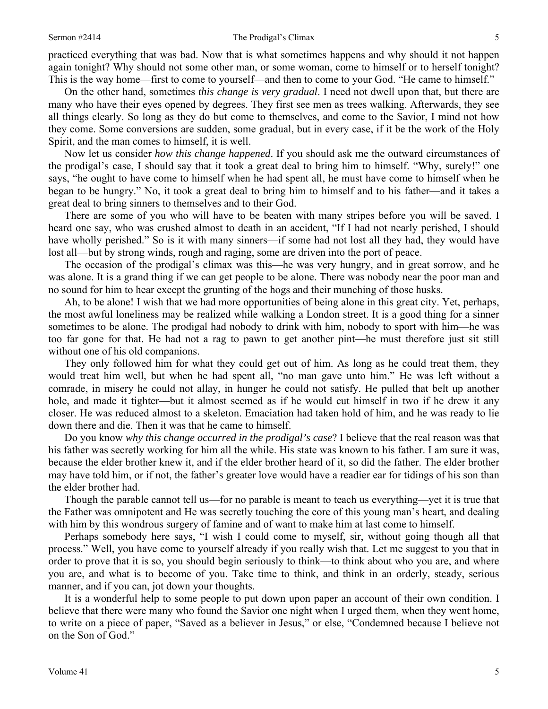#### Sermon #2414 **Sermon #2414** The Prodigal's Climax 5

practiced everything that was bad. Now that is what sometimes happens and why should it not happen again tonight? Why should not some other man, or some woman, come to himself or to herself tonight? This is the way home—first to come to yourself—and then to come to your God. "He came to himself."

On the other hand, sometimes *this change is very gradual*. I need not dwell upon that, but there are many who have their eyes opened by degrees. They first see men as trees walking. Afterwards, they see all things clearly. So long as they do but come to themselves, and come to the Savior, I mind not how they come. Some conversions are sudden, some gradual, but in every case, if it be the work of the Holy Spirit, and the man comes to himself, it is well.

Now let us consider *how this change happened*. If you should ask me the outward circumstances of the prodigal's case, I should say that it took a great deal to bring him to himself. "Why, surely!" one says, "he ought to have come to himself when he had spent all, he must have come to himself when he began to be hungry." No, it took a great deal to bring him to himself and to his father—and it takes a great deal to bring sinners to themselves and to their God.

There are some of you who will have to be beaten with many stripes before you will be saved. I heard one say, who was crushed almost to death in an accident, "If I had not nearly perished, I should have wholly perished." So is it with many sinners—if some had not lost all they had, they would have lost all—but by strong winds, rough and raging, some are driven into the port of peace.

The occasion of the prodigal's climax was this—he was very hungry, and in great sorrow, and he was alone. It is a grand thing if we can get people to be alone. There was nobody near the poor man and no sound for him to hear except the grunting of the hogs and their munching of those husks.

Ah, to be alone! I wish that we had more opportunities of being alone in this great city. Yet, perhaps, the most awful loneliness may be realized while walking a London street. It is a good thing for a sinner sometimes to be alone. The prodigal had nobody to drink with him, nobody to sport with him—he was too far gone for that. He had not a rag to pawn to get another pint—he must therefore just sit still without one of his old companions.

They only followed him for what they could get out of him. As long as he could treat them, they would treat him well, but when he had spent all, "no man gave unto him." He was left without a comrade, in misery he could not allay, in hunger he could not satisfy. He pulled that belt up another hole, and made it tighter—but it almost seemed as if he would cut himself in two if he drew it any closer. He was reduced almost to a skeleton. Emaciation had taken hold of him, and he was ready to lie down there and die. Then it was that he came to himself.

Do you know *why this change occurred in the prodigal's case*? I believe that the real reason was that his father was secretly working for him all the while. His state was known to his father. I am sure it was, because the elder brother knew it, and if the elder brother heard of it, so did the father. The elder brother may have told him, or if not, the father's greater love would have a readier ear for tidings of his son than the elder brother had.

Though the parable cannot tell us—for no parable is meant to teach us everything—yet it is true that the Father was omnipotent and He was secretly touching the core of this young man's heart, and dealing with him by this wondrous surgery of famine and of want to make him at last come to himself.

Perhaps somebody here says, "I wish I could come to myself, sir, without going though all that process." Well, you have come to yourself already if you really wish that. Let me suggest to you that in order to prove that it is so, you should begin seriously to think—to think about who you are, and where you are, and what is to become of you. Take time to think, and think in an orderly, steady, serious manner, and if you can, jot down your thoughts.

It is a wonderful help to some people to put down upon paper an account of their own condition. I believe that there were many who found the Savior one night when I urged them, when they went home, to write on a piece of paper, "Saved as a believer in Jesus," or else, "Condemned because I believe not on the Son of God."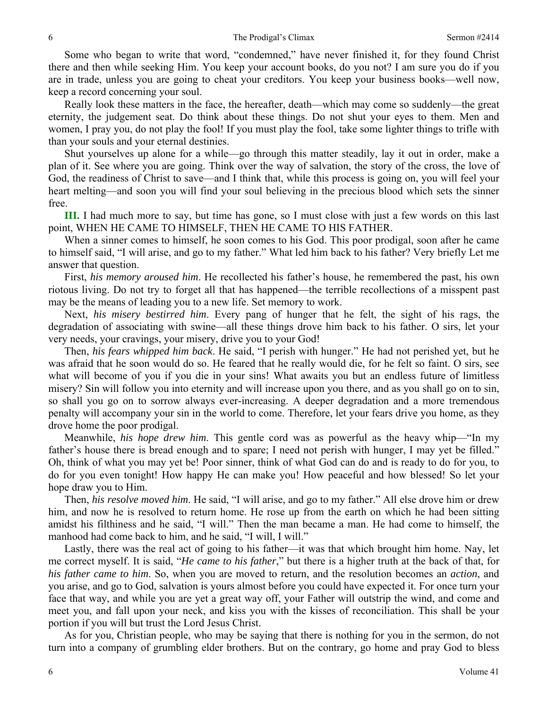Some who began to write that word, "condemned," have never finished it, for they found Christ there and then while seeking Him. You keep your account books, do you not? I am sure you do if you are in trade, unless you are going to cheat your creditors. You keep your business books—well now, keep a record concerning your soul.

Really look these matters in the face, the hereafter, death—which may come so suddenly—the great eternity, the judgement seat. Do think about these things. Do not shut your eyes to them. Men and women, I pray you, do not play the fool! If you must play the fool, take some lighter things to trifle with than your souls and your eternal destinies.

Shut yourselves up alone for a while—go through this matter steadily, lay it out in order, make a plan of it. See where you are going. Think over the way of salvation, the story of the cross, the love of God, the readiness of Christ to save—and I think that, while this process is going on, you will feel your heart melting—and soon you will find your soul believing in the precious blood which sets the sinner free.

**III.** I had much more to say, but time has gone, so I must close with just a few words on this last point, WHEN HE CAME TO HIMSELF, THEN HE CAME TO HIS FATHER.

When a sinner comes to himself, he soon comes to his God. This poor prodigal, soon after he came to himself said, "I will arise, and go to my father." What led him back to his father? Very briefly Let me answer that question.

First, *his memory aroused him*. He recollected his father's house, he remembered the past, his own riotous living. Do not try to forget all that has happened—the terrible recollections of a misspent past may be the means of leading you to a new life. Set memory to work.

Next, *his misery bestirred him*. Every pang of hunger that he felt, the sight of his rags, the degradation of associating with swine—all these things drove him back to his father. O sirs, let your very needs, your cravings, your misery, drive you to your God!

Then, *his fears whipped him back*. He said, "I perish with hunger." He had not perished yet, but he was afraid that he soon would do so. He feared that he really would die, for he felt so faint. O sirs, see what will become of you if you die in your sins! What awaits you but an endless future of limitless misery? Sin will follow you into eternity and will increase upon you there, and as you shall go on to sin, so shall you go on to sorrow always ever-increasing. A deeper degradation and a more tremendous penalty will accompany your sin in the world to come. Therefore, let your fears drive you home, as they drove home the poor prodigal.

Meanwhile, *his hope drew him*. This gentle cord was as powerful as the heavy whip—"In my father's house there is bread enough and to spare; I need not perish with hunger, I may yet be filled." Oh, think of what you may yet be! Poor sinner, think of what God can do and is ready to do for you, to do for you even tonight! How happy He can make you! How peaceful and how blessed! So let your hope draw you to Him.

Then, *his resolve moved him*. He said, "I will arise, and go to my father." All else drove him or drew him, and now he is resolved to return home. He rose up from the earth on which he had been sitting amidst his filthiness and he said, "I will." Then the man became a man. He had come to himself, the manhood had come back to him, and he said, "I will, I will."

Lastly, there was the real act of going to his father—it was that which brought him home. Nay, let me correct myself. It is said, "*He came to his father*," but there is a higher truth at the back of that, for *his father came to him*. So, when you are moved to return, and the resolution becomes an *action*, and you arise, and go to God, salvation is yours almost before you could have expected it. For once turn your face that way, and while you are yet a great way off, your Father will outstrip the wind, and come and meet you, and fall upon your neck, and kiss you with the kisses of reconciliation. This shall be your portion if you will but trust the Lord Jesus Christ.

As for you, Christian people, who may be saying that there is nothing for you in the sermon, do not turn into a company of grumbling elder brothers. But on the contrary, go home and pray God to bless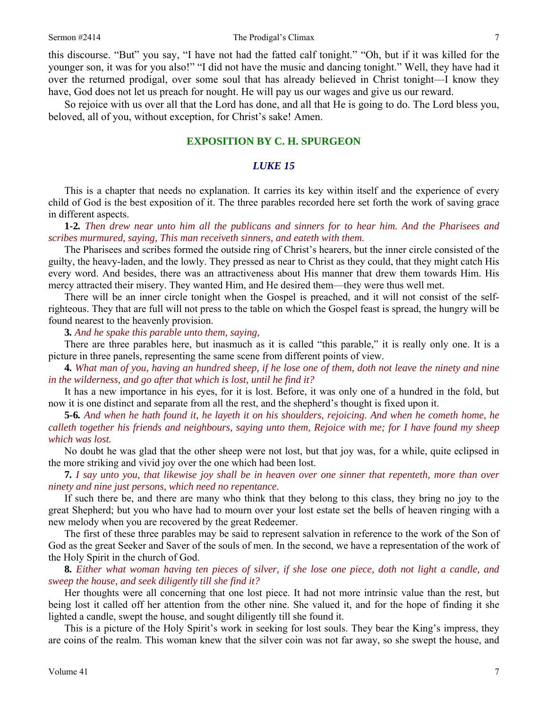this discourse. "But" you say, "I have not had the fatted calf tonight." "Oh, but if it was killed for the younger son, it was for you also!" "I did not have the music and dancing tonight." Well, they have had it over the returned prodigal, over some soul that has already believed in Christ tonight—I know they have, God does not let us preach for nought. He will pay us our wages and give us our reward.

So rejoice with us over all that the Lord has done, and all that He is going to do. The Lord bless you, beloved, all of you, without exception, for Christ's sake! Amen.

#### **EXPOSITION BY C. H. SPURGEON**

#### *LUKE 15*

This is a chapter that needs no explanation. It carries its key within itself and the experience of every child of God is the best exposition of it. The three parables recorded here set forth the work of saving grace in different aspects.

**1***-***2***. Then drew near unto him all the publicans and sinners for to hear him. And the Pharisees and scribes murmured, saying, This man receiveth sinners, and eateth with them.*

The Pharisees and scribes formed the outside ring of Christ's hearers, but the inner circle consisted of the guilty, the heavy-laden, and the lowly. They pressed as near to Christ as they could, that they might catch His every word. And besides, there was an attractiveness about His manner that drew them towards Him. His mercy attracted their misery. They wanted Him, and He desired them—they were thus well met.

There will be an inner circle tonight when the Gospel is preached, and it will not consist of the selfrighteous. They that are full will not press to the table on which the Gospel feast is spread, the hungry will be found nearest to the heavenly provision.

**3***. And he spake this parable unto them, saying,*

There are three parables here, but inasmuch as it is called "this parable," it is really only one. It is a picture in three panels, representing the same scene from different points of view.

**4***. What man of you, having an hundred sheep, if he lose one of them, doth not leave the ninety and nine in the wilderness, and go after that which is lost, until he find it?*

It has a new importance in his eyes, for it is lost. Before, it was only one of a hundred in the fold, but now it is one distinct and separate from all the rest, and the shepherd's thought is fixed upon it.

**5***-***6***. And when he hath found it, he layeth it on his shoulders, rejoicing. And when he cometh home, he calleth together his friends and neighbours, saying unto them, Rejoice with me; for I have found my sheep which was lost.*

No doubt he was glad that the other sheep were not lost, but that joy was, for a while, quite eclipsed in the more striking and vivid joy over the one which had been lost.

**7***. I say unto you, that likewise joy shall be in heaven over one sinner that repenteth, more than over ninety and nine just persons, which need no repentance.*

If such there be, and there are many who think that they belong to this class, they bring no joy to the great Shepherd; but you who have had to mourn over your lost estate set the bells of heaven ringing with a new melody when you are recovered by the great Redeemer.

The first of these three parables may be said to represent salvation in reference to the work of the Son of God as the great Seeker and Saver of the souls of men. In the second, we have a representation of the work of the Holy Spirit in the church of God.

**8***. Either what woman having ten pieces of silver, if she lose one piece, doth not light a candle, and sweep the house, and seek diligently till she find it?* 

Her thoughts were all concerning that one lost piece. It had not more intrinsic value than the rest, but being lost it called off her attention from the other nine. She valued it, and for the hope of finding it she lighted a candle, swept the house, and sought diligently till she found it.

This is a picture of the Holy Spirit's work in seeking for lost souls. They bear the King's impress, they are coins of the realm. This woman knew that the silver coin was not far away, so she swept the house, and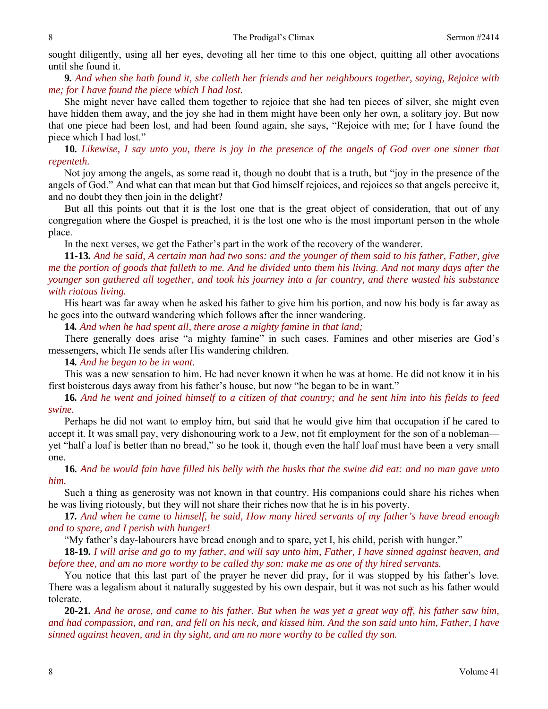sought diligently, using all her eyes, devoting all her time to this one object, quitting all other avocations until she found it.

**9***. And when she hath found it, she calleth her friends and her neighbours together, saying, Rejoice with me; for I have found the piece which I had lost.*

She might never have called them together to rejoice that she had ten pieces of silver, she might even have hidden them away, and the joy she had in them might have been only her own, a solitary joy. But now that one piece had been lost, and had been found again, she says, "Rejoice with me; for I have found the piece which I had lost."

**10***. Likewise, I say unto you, there is joy in the presence of the angels of God over one sinner that repenteth.*

Not joy among the angels, as some read it, though no doubt that is a truth, but "joy in the presence of the angels of God." And what can that mean but that God himself rejoices, and rejoices so that angels perceive it, and no doubt they then join in the delight?

But all this points out that it is the lost one that is the great object of consideration, that out of any congregation where the Gospel is preached, it is the lost one who is the most important person in the whole place.

In the next verses, we get the Father's part in the work of the recovery of the wanderer.

**11***-***13***. And he said, A certain man had two sons: and the younger of them said to his father, Father, give me the portion of goods that falleth to me. And he divided unto them his living. And not many days after the younger son gathered all together, and took his journey into a far country, and there wasted his substance with riotous living.* 

His heart was far away when he asked his father to give him his portion, and now his body is far away as he goes into the outward wandering which follows after the inner wandering.

**14***. And when he had spent all, there arose a mighty famine in that land;*

There generally does arise "a mighty famine" in such cases. Famines and other miseries are God's messengers, which He sends after His wandering children.

#### **14***. And he began to be in want.*

This was a new sensation to him. He had never known it when he was at home. He did not know it in his first boisterous days away from his father's house, but now "he began to be in want."

**16***. And he went and joined himself to a citizen of that country; and he sent him into his fields to feed swine.*

Perhaps he did not want to employ him, but said that he would give him that occupation if he cared to accept it. It was small pay, very dishonouring work to a Jew, not fit employment for the son of a nobleman yet "half a loaf is better than no bread," so he took it, though even the half loaf must have been a very small one.

**16***. And he would fain have filled his belly with the husks that the swine did eat: and no man gave unto him.*

Such a thing as generosity was not known in that country. His companions could share his riches when he was living riotously, but they will not share their riches now that he is in his poverty.

**17***. And when he came to himself, he said, How many hired servants of my father's have bread enough and to spare, and I perish with hunger!*

"My father's day-labourers have bread enough and to spare, yet I, his child, perish with hunger."

**18***-***19***. I will arise and go to my father, and will say unto him, Father, I have sinned against heaven, and before thee, and am no more worthy to be called thy son: make me as one of thy hired servants.*

You notice that this last part of the prayer he never did pray, for it was stopped by his father's love. There was a legalism about it naturally suggested by his own despair, but it was not such as his father would tolerate.

**20***-***21***. And he arose, and came to his father. But when he was yet a great way off, his father saw him, and had compassion, and ran, and fell on his neck, and kissed him. And the son said unto him, Father, I have sinned against heaven, and in thy sight, and am no more worthy to be called thy son.*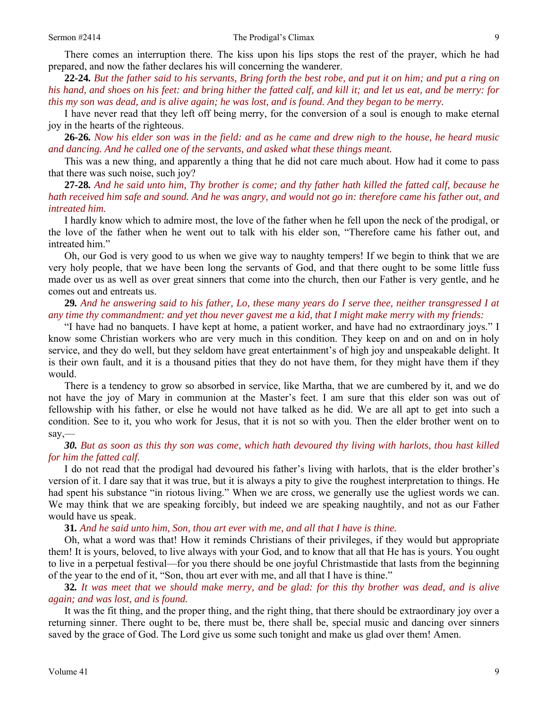There comes an interruption there. The kiss upon his lips stops the rest of the prayer, which he had prepared, and now the father declares his will concerning the wanderer.

**22***-***24***. But the father said to his servants, Bring forth the best robe, and put it on him; and put a ring on his hand, and shoes on his feet: and bring hither the fatted calf, and kill it; and let us eat, and be merry: for this my son was dead, and is alive again; he was lost, and is found. And they began to be merry.*

I have never read that they left off being merry, for the conversion of a soul is enough to make eternal joy in the hearts of the righteous.

**26***-***26***. Now his elder son was in the field: and as he came and drew nigh to the house, he heard music and dancing. And he called one of the servants, and asked what these things meant.*

This was a new thing, and apparently a thing that he did not care much about. How had it come to pass that there was such noise, such joy?

**27***-***28***. And he said unto him, Thy brother is come; and thy father hath killed the fatted calf, because he hath received him safe and sound. And he was angry, and would not go in: therefore came his father out, and intreated him.*

I hardly know which to admire most, the love of the father when he fell upon the neck of the prodigal, or the love of the father when he went out to talk with his elder son, "Therefore came his father out, and intreated him."

Oh, our God is very good to us when we give way to naughty tempers! If we begin to think that we are very holy people, that we have been long the servants of God, and that there ought to be some little fuss made over us as well as over great sinners that come into the church, then our Father is very gentle, and he comes out and entreats us.

## **29***. And he answering said to his father, Lo, these many years do I serve thee, neither transgressed I at any time thy commandment: and yet thou never gavest me a kid, that I might make merry with my friends:*

"I have had no banquets. I have kept at home, a patient worker, and have had no extraordinary joys." I know some Christian workers who are very much in this condition. They keep on and on and on in holy service, and they do well, but they seldom have great entertainment's of high joy and unspeakable delight. It is their own fault, and it is a thousand pities that they do not have them, for they might have them if they would.

There is a tendency to grow so absorbed in service, like Martha, that we are cumbered by it, and we do not have the joy of Mary in communion at the Master's feet. I am sure that this elder son was out of fellowship with his father, or else he would not have talked as he did. We are all apt to get into such a condition. See to it, you who work for Jesus, that it is not so with you. Then the elder brother went on to say,—

### *30. But as soon as this thy son was come, which hath devoured thy living with harlots, thou hast killed for him the fatted calf.*

I do not read that the prodigal had devoured his father's living with harlots, that is the elder brother's version of it. I dare say that it was true, but it is always a pity to give the roughest interpretation to things. He had spent his substance "in riotous living." When we are cross, we generally use the ugliest words we can. We may think that we are speaking forcibly, but indeed we are speaking naughtily, and not as our Father would have us speak.

**31***. And he said unto him, Son, thou art ever with me, and all that I have is thine.*

Oh, what a word was that! How it reminds Christians of their privileges, if they would but appropriate them! It is yours, beloved, to live always with your God, and to know that all that He has is yours. You ought to live in a perpetual festival—for you there should be one joyful Christmastide that lasts from the beginning of the year to the end of it, "Son, thou art ever with me, and all that I have is thine."

**32***. It was meet that we should make merry, and be glad: for this thy brother was dead, and is alive again; and was lost, and is found.*

It was the fit thing, and the proper thing, and the right thing, that there should be extraordinary joy over a returning sinner. There ought to be, there must be, there shall be, special music and dancing over sinners saved by the grace of God. The Lord give us some such tonight and make us glad over them! Amen.